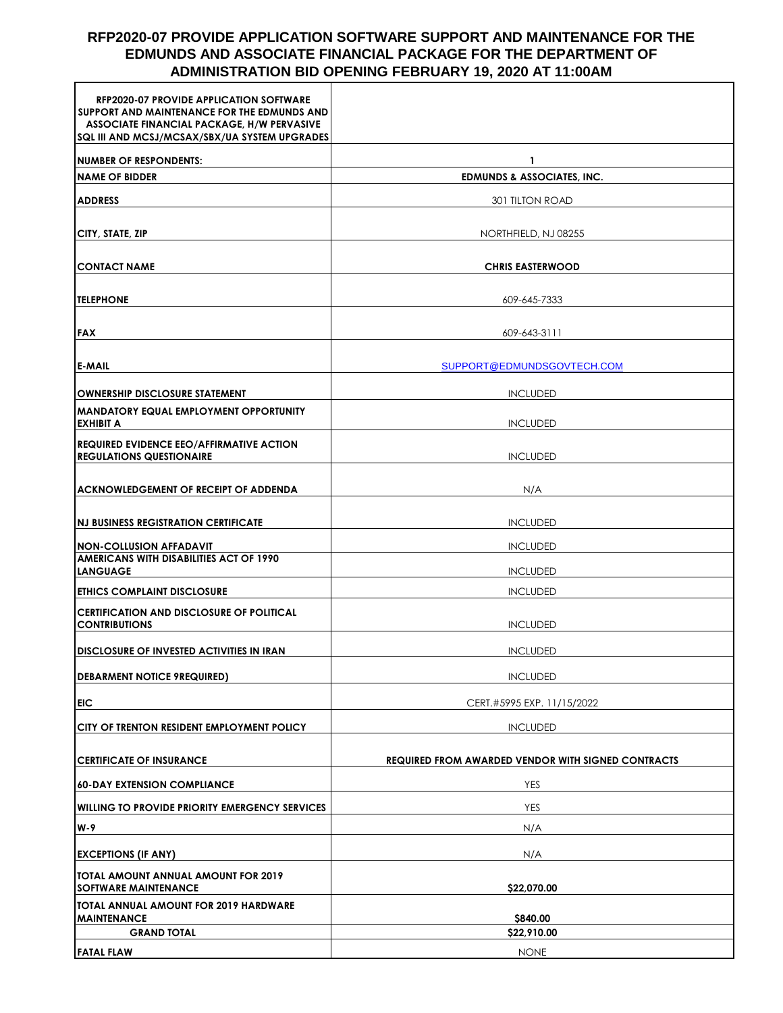# **RFP2020-07 PROVIDE APPLICATION SOFTWARE SUPPORT AND MAINTENANCE FOR THE EDMUNDS AND ASSOCIATE FINANCIAL PACKAGE FOR THE DEPARTMENT OF ADMINISTRATION BID OPENING FEBRUARY 19, 2020 AT 11:00AM**

| <b>RFP2020-07 PROVIDE APPLICATION SOFTWARE</b><br>SUPPORT AND MAINTENANCE FOR THE EDMUNDS AND<br><b>ASSOCIATE FINANCIAL PACKAGE, H/W PERVASIVE</b><br>SQL III AND MCSJ/MCSAX/SBX/UA SYSTEM UPGRADES |                                                           |
|-----------------------------------------------------------------------------------------------------------------------------------------------------------------------------------------------------|-----------------------------------------------------------|
| <b>NUMBER OF RESPONDENTS:</b>                                                                                                                                                                       | 1                                                         |
| <b>NAME OF BIDDER</b>                                                                                                                                                                               | <b>EDMUNDS &amp; ASSOCIATES, INC.</b>                     |
| <b>ADDRESS</b>                                                                                                                                                                                      | 301 TILTON ROAD                                           |
|                                                                                                                                                                                                     |                                                           |
| <b>CITY, STATE, ZIP</b>                                                                                                                                                                             | NORTHFIELD, NJ 08255                                      |
| <b>CONTACT NAME</b>                                                                                                                                                                                 | <b>CHRIS EASTERWOOD</b>                                   |
| <b>TELEPHONE</b>                                                                                                                                                                                    | 609-645-7333                                              |
| <b>FAX</b>                                                                                                                                                                                          | 609-643-3111                                              |
| <b>E-MAIL</b>                                                                                                                                                                                       | SUPPORT@EDMUNDSGOVTECH.COM                                |
| <b>OWNERSHIP DISCLOSURE STATEMENT</b>                                                                                                                                                               | <b>INCLUDED</b>                                           |
| MANDATORY EQUAL EMPLOYMENT OPPORTUNITY<br><b>EXHIBIT A</b>                                                                                                                                          | <b>INCLUDED</b>                                           |
| <b>REQUIRED EVIDENCE EEO/AFFIRMATIVE ACTION</b><br><b>REGULATIONS QUESTIONAIRE</b>                                                                                                                  | <b>INCLUDED</b>                                           |
| <b>ACKNOWLEDGEMENT OF RECEIPT OF ADDENDA</b>                                                                                                                                                        | N/A                                                       |
| <b>INJ BUSINESS REGISTRATION CERTIFICATE</b>                                                                                                                                                        | <b>INCLUDED</b>                                           |
| NON-COLLUSION AFFADAVIT                                                                                                                                                                             | <b>INCLUDED</b>                                           |
| <b>AMERICANS WITH DISABILITIES ACT OF 1990</b><br><b>LANGUAGE</b>                                                                                                                                   | <b>INCLUDED</b>                                           |
| <b>ETHICS COMPLAINT DISCLOSURE</b>                                                                                                                                                                  | <b>INCLUDED</b>                                           |
| CERTIFICATION AND DISCLOSURE OF POLITICAL<br><b>CONTRIBUTIONS</b>                                                                                                                                   | <b>INCLUDED</b>                                           |
| <b>DISCLOSURE OF INVESTED ACTIVITIES IN IRAN</b>                                                                                                                                                    | <b>INCLUDED</b>                                           |
|                                                                                                                                                                                                     |                                                           |
| <b>DEBARMENT NOTICE 9REQUIRED)</b>                                                                                                                                                                  | <b>INCLUDED</b>                                           |
| EIC                                                                                                                                                                                                 | CERT.#5995 EXP. 11/15/2022                                |
| <b>CITY OF TRENTON RESIDENT EMPLOYMENT POLICY</b>                                                                                                                                                   | <b>INCLUDED</b>                                           |
| <b>CERTIFICATE OF INSURANCE</b>                                                                                                                                                                     | <b>REQUIRED FROM AWARDED VENDOR WITH SIGNED CONTRACTS</b> |
| <b>60-DAY EXTENSION COMPLIANCE</b>                                                                                                                                                                  | <b>YES</b>                                                |
| <b>WILLING TO PROVIDE PRIORITY EMERGENCY SERVICES</b>                                                                                                                                               | <b>YES</b>                                                |
| W-9                                                                                                                                                                                                 | N/A                                                       |
| <b>EXCEPTIONS (IF ANY)</b>                                                                                                                                                                          | N/A                                                       |
| TOTAL AMOUNT ANNUAL AMOUNT FOR 2019<br><b>SOFTWARE MAINTENANCE</b>                                                                                                                                  | \$22,070.00                                               |
| TOTAL ANNUAL AMOUNT FOR 2019 HARDWARE<br><b>MAINTENANCE</b>                                                                                                                                         | \$840.00                                                  |
| <b>GRAND TOTAL</b>                                                                                                                                                                                  | \$22,910.00                                               |
| <b>FATAL FLAW</b>                                                                                                                                                                                   | <b>NONE</b>                                               |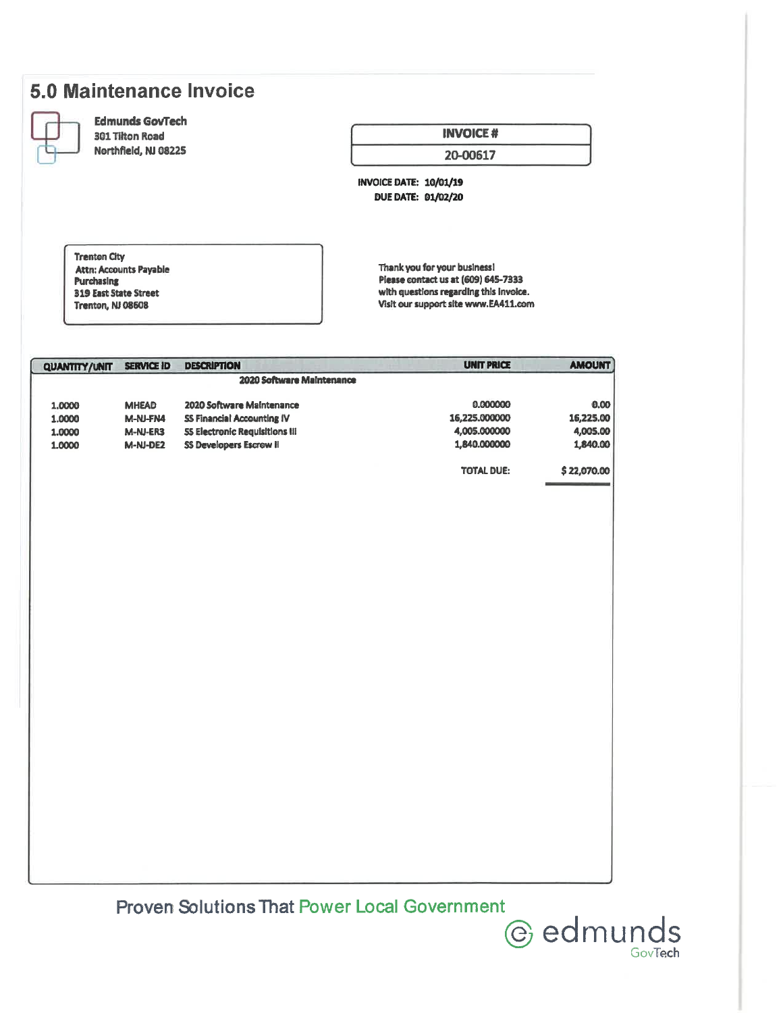# 5.0 Maintenance Invoice

|        | z      |        | ï |  |
|--------|--------|--------|---|--|
|        | ×      | x      |   |  |
|        |        | ٠<br>ī |   |  |
|        |        |        | u |  |
| ï<br>ì |        |        |   |  |
|        | ×      | ٠      |   |  |
|        | $\sim$ | w      |   |  |
|        |        |        |   |  |

### **Edmunds GovTech 301 Tilton Road**

Northfield, NJ 08225

# **INVOICE#**

#### 20-00617

**INVOICE DATE: 10/01/19 DUE DATE: 01/02/20** 

**Trenton City** Attn: Accounts Payable **Purchasing 319 East State Street** Trenton, NJ 08608

Thank you for your business! Please contact us at (609) 645-7333 with questions regarding this invoice. Visit our support site www.EA411.com

| <b>QUANTITY/UNIT</b> | <b>SERVICE ID</b>         | <b>DESCRIPTION</b>                    | <b>UNIT PRICE</b> | <b>AMOUNT</b> |  |
|----------------------|---------------------------|---------------------------------------|-------------------|---------------|--|
|                      | 2020 Software Maintenance |                                       |                   |               |  |
| 1.0000               | <b>MHEAD</b>              | 2020 Software Maintenance             | 0.000000          | 0.00          |  |
| 1.0000               | M-NJ-FN4                  | <b>SS Financial Accounting IV</b>     | 16,225.000000     | 16,225.00     |  |
| 1.0000               | M-NJ-ER3                  | <b>55 Electronic Requisitions III</b> | 4,005.000000      | 4,005.00      |  |
| 1.0000               | M-NJ-DE2                  | <b>SS Developers Escrow II</b>        | 1,840.000000      | 1,840.00      |  |
|                      |                           |                                       | <b>TOTAL DUE:</b> | \$22,070.00   |  |
|                      |                           |                                       |                   |               |  |

**Proven Solutions That Power Local Government**